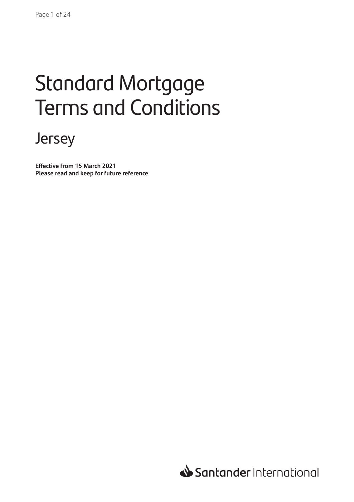# Standard Mortgage Terms and Conditions

# Jersey

**Effective from 15 March 2021 Please read and keep for future reference**

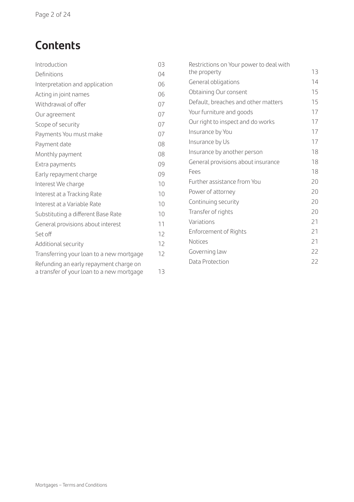# **Contents**

| Introduction                              | 03 | Restrictions on Your power to deal with |    |
|-------------------------------------------|----|-----------------------------------------|----|
| Definitions                               | 04 | the property                            | 13 |
| Interpretation and application            | 06 | General obligations                     | 14 |
| Acting in joint names                     | 06 | Obtaining Our consent                   | 15 |
| Withdrawal of offer                       | 07 | Default, breaches and other matters     | 15 |
| Our agreement                             | 07 | Your furniture and goods                | 17 |
| Scope of security                         | 07 | Our right to inspect and do works       | 17 |
| Payments You must make                    | 07 | Insurance by You                        | 17 |
| Payment date                              | 08 | Insurance by Us                         | 17 |
| Monthly payment                           | 08 | Insurance by another person             | 18 |
| Extra payments                            | 09 | General provisions about insurance      | 18 |
| Early repayment charge                    | 09 | Fees                                    | 18 |
| Interest We charge                        | 10 | Further assistance from You             | 20 |
| Interest at a Tracking Rate               | 10 | Power of attorney                       | 20 |
| Interest at a Variable Rate               | 10 | Continuing security                     | 20 |
| Substituting a different Base Rate        | 10 | Transfer of rights                      | 20 |
| General provisions about interest         | 11 | Variations                              | 21 |
| Set off                                   | 12 | Enforcement of Rights                   | 21 |
| Additional security                       | 12 | <b>Notices</b>                          | 21 |
| Transferring your loan to a new mortgage  | 12 | Governing law                           | 22 |
| Refunding an early repayment charge on    |    | Data Protection                         | 22 |
| a transfer of your loan to a new mortgage | 13 |                                         |    |
|                                           |    |                                         |    |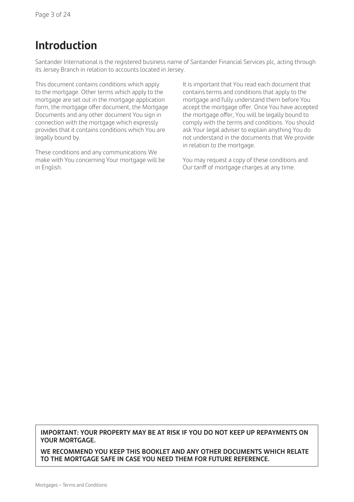### **Introduction**

Santander International is the registered business name of Santander Financial Services plc, acting through its Jersey Branch in relation to accounts located in Jersey.

This document contains conditions which apply to the mortgage. Other terms which apply to the mortgage are set out in the mortgage application form, the mortgage offer document, the Mortgage Documents and any other document You sign in connection with the mortgage which expressly provides that it contains conditions which You are legally bound by.

These conditions and any communications We make with You concerning Your mortgage will be in English.

It is important that You read each document that contains terms and conditions that apply to the mortgage and fully understand them before You accept the mortgage offer. Once You have accepted the mortgage offer, You will be legally bound to comply with the terms and conditions. You should ask Your legal adviser to explain anything You do not understand in the documents that We provide in relation to the mortgage.

You may request a copy of these conditions and Our tariff of mortgage charges at any time.

**IMPORTANT: YOUR PROPERTY MAY BE AT RISK IF YOU DO NOT KEEP UP REPAYMENTS ON YOUR MORTGAGE.** 

**WE RECOMMEND YOU KEEP THIS BOOKLET AND ANY OTHER DOCUMENTS WHICH RELATE TO THE MORTGAGE SAFE IN CASE YOU NEED THEM FOR FUTURE REFERENCE.**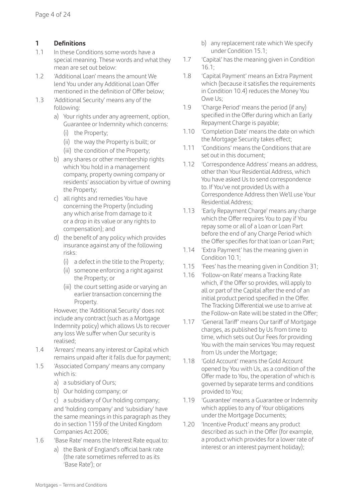#### **1 Definitions**

- 1.1 In these Conditions some words have a special meaning. These words and what they mean are set out below:
- 1.2 'Additional Loan' means the amount We lend You under any Additional Loan Offer mentioned in the definition of Offer below;
- 1.3 'Additional Security' means any of the following:
	- a) Your rights under any agreement, option, Guarantee or Indemnity which concerns:
		- (i) the Property;
		- (ii) the way the Property is built; or
		- (iii) the condition of the Property;
	- b) any shares or other membership rights which You hold in a management company, property owning company or residents' association by virtue of owning the Property;
	- c) all rights and remedies You have concerning the Property (including any which arise from damage to it or a drop in its value or any rights to compensation); and
	- d) the benefit of any policy which provides insurance against any of the following risks:
		- (i) a defect in the title to the Property;
		- (ii) someone enforcing a right against the Property; or
		- (iii) the court setting aside or varying an earlier transaction concerning the Property.

 However, the 'Additional Security' does not include any contract (such as a Mortgage Indemnity policy) which allows Us to recover any loss We suffer when Our security is realised;

- 1.4 'Arrears' means any interest or Capital which remains unpaid after it falls due for payment;
- 1.5 'Associated Company' means any company which is:
	- a) a subsidiary of Ours;
	- b) Our holding company; or
	- c) a subsidiary of Our holding company; and 'holding company' and 'subsidiary' have the same meanings in this paragraph as they do in section 1159 of the United Kingdom Companies Act 2006;
- 1.6 'Base Rate' means the Interest Rate equal to:
	- a) the Bank of England's official bank rate (the rate sometimes referred to as its 'Base Rate'); or
- b) any replacement rate which We specify under Condition 15.1;
- 1.7 'Capital' has the meaning given in Condition 16.1;
- 1.8 'Capital Payment' means an Extra Payment which (because it satisfies the requirements in Condition 10.4) reduces the Money You Owe Us;
- 1.9 Charge Period' means the period (if any) specified in the Offer during which an Early Repayment Charge is payable;
- 1.10 'Completion Date' means the date on which the Mortgage Security takes effect:
- 1.11 'Conditions' means the Conditions that are set out in this document;
- 1.12 'Correspondence Address' means an address, other than Your Residential Address, which You have asked Us to send correspondence to. If You've not provided Us with a Correspondence Address then We'll use Your Residential Address;
- 1.13 'Early Repayment Charge' means any charge which the Offer requires You to pay if You repay some or all of a Loan or Loan Part before the end of any Charge Period which the Offer specifies for that loan or Loan Part;
- 1.14 'Extra Payment' has the meaning given in Condition 10.1;
- 1.15 'Fees' has the meaning given in Condition 31;
- 1.16 'Follow-on Rate' means a Tracking Rate which, if the Offer so provides, will apply to all or part of the Capital after the end of an initial product period specified in the Offer. The Tracking Differential we use to arrive at the Follow-on Rate will be stated in the Offer;
- 1.17 'General Tariff' means Our tariff of Mortgage charges, as published by Us from time to time, which sets out Our Fees for providing You with the main services You may request from Us under the Mortgage;
- 1.18 'Gold Account' means the Gold Account opened by You with Us, as a condition of the Offer made to You, the operation of which is governed by separate terms and conditions provided to You;
- 1.19 'Guarantee' means a Guarantee or Indemnity which applies to any of Your obligations under the Mortgage Documents;
- 1.20 'Incentive Product' means any product described as such in the Offer (for example, a product which provides for a lower rate of interest or an interest payment holiday);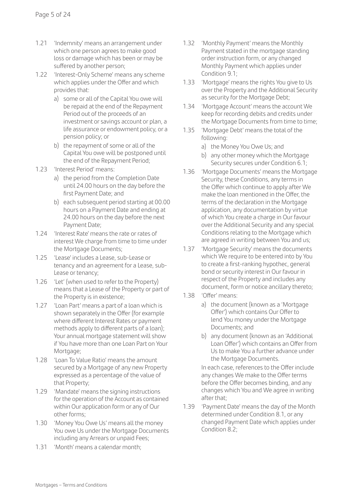- 1.21 'Indemnity' means an arrangement under which one person agrees to make good loss or damage which has been or may be suffered by another person;
- 1.22 'Interest-Only Scheme' means any scheme which applies under the Offer and which provides that:
	- a) some or all of the Capital You owe will be repaid at the end of the Repayment Period out of the proceeds of an investment or savings account or plan, a life assurance or endowment policy, or a pension policy; or
	- b) the repayment of some or all of the Capital You owe will be postponed until the end of the Repayment Period;
- 1.23 'Interest Period' means:
	- a) the period from the Completion Date until 24.00 hours on the day before the first Payment Date; and
	- b) each subsequent period starting at 00.00 hours on a Payment Date and ending at 24.00 hours on the day before the next Payment Date;
- 1.24 'Interest Rate' means the rate or rates of interest We charge from time to time under the Mortgage Documents;
- 1.25 'Lease' includes a Lease, sub-Lease or tenancy and an agreement for a Lease, sub-Lease or tenancy;
- 1.26 'Let' (when used to refer to the Property) means that a Lease of the Property or part of the Property is in existence;
- 1.27 'Loan Part' means a part of a loan which is shown separately in the Offer (for example where different Interest Rates or payment methods apply to different parts of a loan); Your annual mortgage statement will show if You have more than one Loan Part on Your Mortgage;
- 1.28 'Loan To Value Ratio' means the amount secured by a Mortgage of any new Property expressed as a percentage of the value of that Property;
- 1.29 'Mandate' means the signing instructions for the operation of the Account as contained within Our application form or any of Our other forms;
- 1.30 'Money You Owe Us' means all the money You owe Us under the Mortgage Documents including any Arrears or unpaid Fees;
- 1.31 'Month' means a calendar month;
- 1.32 'Monthly Payment' means the Monthly Payment stated in the mortgage standing order instruction form, or any changed Monthly Payment which applies under Condition 9.1;
- 1.33 'Mortgage' means the rights You give to Us over the Property and the Additional Security as security for the Mortgage Debt;
- 1.34 'Mortgage Account' means the account We keep for recording debits and credits under the Mortgage Documents from time to time;
- 1.35 'Mortgage Debt' means the total of the following:
	- a) the Money You Owe Us; and
	- b) any other money which the Mortgage Security secures under Condition 6.1;
- 1.36 'Mortgage Documents' means the Mortgage Security, these Conditions, any terms in the Offer which continue to apply after We make the loan mentioned in the Offer, the terms of the declaration in the Mortgage application, any documentation by virtue of which You create a charge in Our favour over the Additional Security and any special Conditions relating to the Mortgage which are agreed in writing between You and us;
- 1.37 'Mortgage Security' means the documents which We require to be entered into by You to create a first-ranking hypothec, general bond or security interest in Our favour in respect of the Property and includes any document, form or notice ancillary thereto;
- 1.38 'Offer' means:
	- a) the document (known as a 'Mortgage Offer') which contains Our Offer to lend You money under the Mortgage Documents; and
	- b) any document (known as an 'Additional Loan Offer') which contains an Offer from Us to make You a further advance under the Mortgage Documents.

 In each case, references to the Offer include any changes We make to the Offer terms before the Offer becomes binding, and any changes which You and We agree in writing after that;

1.39 'Payment Date' means the day of the Month determined under Condition 8.1, or any changed Payment Date which applies under Condition 8.2;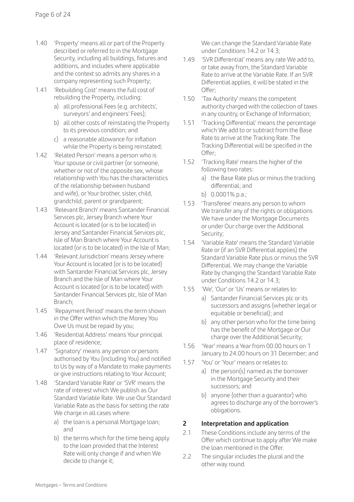- 1.40 'Property' means all or part of the Property described or referred to in the Mortgage Security, including all buildings, fixtures and additions, and includes where applicable and the context so admits any shares in a company representing such Property;
- 1.41 'Rebuilding Cost' means the full cost of rebuilding the Property, including:
	- a) all professional Fees (e.g. architects', surveyors' and engineers' Fees);
	- b) all other costs of reinstating the Property to its previous condition; and
	- c) a reasonable allowance for inflation while the Property is being reinstated;
- 1.42 'Related Person' means a person who is Your spouse or civil partner (or someone, whether or not of the opposite sex, whose relationship with You has the characteristics of the relationship between husband and wife), or Your brother, sister, child, grandchild, parent or grandparent;
- 1.43 'Relevant Branch' means Santander Financial Services plc, Jersey Branch where Your Account is located (or is to be located) in Jersey and Santander Financial Services plc, Isle of Man Branch where Your Account is located (or is to be located) in the Isle of Man;
- 1.44 'Relevant Jurisdiction' means Jersey where Your Account is located (or is to be located) with Santander Financial Services plc, Jersey Branch and the Isle of Man where Your Account is located (or is to be located) with Santander Financial Services plc, Isle of Man Branch;
- 1.45 'Repayment Period' means the term shown in the Offer within which the Money You Owe Us must be repaid by you;
- 1.46 'Residential Address' means Your principal place of residence;
- 1.47 'Signatory' means any person or persons authorised by You (including You) and notified to Us by way of a Mandate to make payments or give instructions relating to Your Account;
- 1.48 'Standard Variable Rate' or 'SVR' means the rate of interest which We publish as Our Standard Variable Rate. We use Our Standard Variable Rate as the basis for setting the rate We charge in all cases where:
	- a) the loan is a personal Mortgage loan; and
	- b) the terms which for the time being apply to the loan provided that the Interest Rate will only change if and when We decide to change it;

 We can change the Standard Variable Rate under Conditions 14.2 or 14.3;

- 1.49 'SVR Differential' means any rate We add to, or take away from, the Standard Variable Rate to arrive at the Variable Rate. If an SVR Differential applies, it will be stated in the Offer;
- 1.50 'Tax Authority' means the competent authority charged with the collection of taxes in any country, or Exchange of Information;
- 1.51 'Tracking Differential' means the percentage which We add to or subtract from the Base Rate to arrive at the Tracking Rate. The Tracking Differential will be specified in the Offer;
- 1.52 'Tracking Rate' means the higher of the following two rates:
	- a) the Base Rate plus or minus the tracking differential; and
	- b) 0.0001% p.a.;
- 1.53 'Transferee' means any person to whom We transfer any of the rights or obligations We have under the Mortgage Documents or under Our charge over the Additional Security;
- 1.54 'Variable Rate' means the Standard Variable Rate or (if an SVR Differential applies) the Standard Variable Rate plus or minus the SVR Differential. We may change the Variable Rate by changing the Standard Variable Rate under Conditions 14.2 or 14.3;
- 1.55 'We', 'Our' or 'Us' means or relates to:
	- a) Santander Financial Services plc or its successors and assigns (whether legal or equitable or beneficial); and
	- b) any other person who for the time being has the benefit of the Mortgage or Our charge over the Additional Security;
- 1.56 'Year' means a Year from 00.00 hours on 1 January to 24.00 hours on 31 December; and
- 1.57 'You' or 'Your' means or relates to:
	- a) the person(s) named as the borrower in the Mortgage Security and their successors; and
	- b) anyone (other than a guarantor) who agrees to discharge any of the borrower's obligations.

#### **2 Interpretation and application**

- 2.1 These Conditions include any terms of the Offer which continue to apply after We make the loan mentioned in the Offer.
- 2.2 The singular includes the plural and the other way round.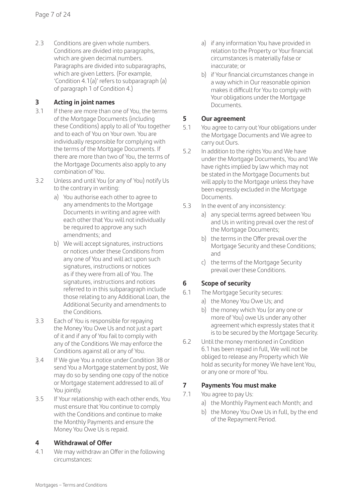2.3 Conditions are given whole numbers. Conditions are divided into paragraphs, which are given decimal numbers. Paragraphs are divided into subparagraphs, which are given Letters. (For example, 'Condition 4.1(a)' refers to subparagraph (a) of paragraph 1 of Condition 4.)

#### **3 Acting in joint names**

- 3.1 If there are more than one of You, the terms of the Mortgage Documents (including these Conditions) apply to all of You together and to each of You on Your own. You are individually responsible for complying with the terms of the Mortgage Documents. If there are more than two of You, the terms of the Mortgage Documents also apply to any combination of You.
- 3.2 Unless and until You (or any of You) notify Us to the contrary in writing:
	- a) You authorise each other to agree to any amendments to the Mortgage Documents in writing and agree with each other that You will not individually be required to approve any such amendments; and
	- b) We will accept signatures, instructions or notices under these Conditions from any one of You and will act upon such signatures, instructions or notices as if they were from all of You. The signatures, instructions and notices referred to in this subparagraph include those relating to any Additional Loan, the Additional Security and amendments to the Conditions.
- 3.3 Each of You is responsible for repaying the Money You Owe Us and not just a part of it and if any of You fail to comply with any of the Conditions We may enforce the Conditions against all or any of You.
- 3.4 If We give You a notice under Condition 38 or send You a Mortgage statement by post, We may do so by sending one copy of the notice or Mortgage statement addressed to all of You jointly.
- 3.5 If Your relationship with each other ends, You must ensure that You continue to comply with the Conditions and continue to make the Monthly Payments and ensure the Money You Owe Us is repaid.

#### **4 Withdrawal of Offer**

4.1 We may withdraw an Offer in the following circumstances:

- a) if any information You have provided in relation to the Property or Your financial circumstances is materially false or inaccurate; or
- b) if Your financial circumstances change in a way which in Our reasonable opinion makes it difficult for You to comply with Your obligations under the Mortgage Documents.

#### **5 Our agreement**

- 5.1 You agree to carry out Your obligations under the Mortgage Documents and We agree to carry out Ours.
- 5.2 In addition to the rights You and We have under the Mortgage Documents, You and We have rights implied by law which may not be stated in the Mortgage Documents but will apply to the Mortgage unless they have been expressly excluded in the Mortgage Documents.
- 5.3 In the event of any inconsistency:
	- a) any special terms agreed between You and Us in writing prevail over the rest of the Mortgage Documents;
	- b) the terms in the Offer prevail over the Mortgage Security and these Conditions; and
	- c) the terms of the Mortgage Security prevail over these Conditions.

#### **6 Scope of security**

- 6.1 The Mortgage Security secures:
	- a) the Money You Owe Us; and
	- b) the money which You (or any one or more of You) owe Us under any other agreement which expressly states that it is to be secured by the Mortgage Security.
- 6.2 Until the money mentioned in Condition 6.1 has been repaid in full, We will not be obliged to release any Property which We hold as security for money We have lent You, or any one or more of You.

#### **7 Payments You must make**

- 7.1 You agree to pay Us:
	- a) the Monthly Payment each Month; and
	- b) the Money You Owe Us in full, by the end of the Repayment Period.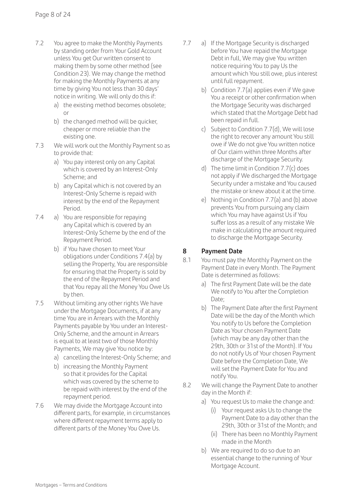- 7.2 You agree to make the Monthly Payments by standing order from Your Gold Account unless You get Our written consent to making them by some other method (see Condition 23). We may change the method for making the Monthly Payments at any time by giving You not less than 30 days' notice in writing. We will only do this if:
	- a) the existing method becomes obsolete; or
	- b) the changed method will be quicker, cheaper or more reliable than the existing one.
- 7.3 We will work out the Monthly Payment so as to provide that:
	- a) You pay interest only on any Capital which is covered by an Interest-Only Scheme; and
	- b) any Capital which is not covered by an Interest-Only Scheme is repaid with interest by the end of the Repayment Period.
- 7.4 a) You are responsible for repaying any Capital which is covered by an Interest-Only Scheme by the end of the Repayment Period.
	- b) if You have chosen to meet Your obligations under Conditions 7.4(a) by selling the Property, You are responsible for ensuring that the Property is sold by the end of the Repayment Period and that You repay all the Money You Owe Us by then.
- 7.5 Without limiting any other rights We have under the Mortgage Documents, if at any time You are in Arrears with the Monthly Payments payable by You under an Interest-Only Scheme, and the amount in Arrears is equal to at least two of those Monthly Payments, We may give You notice by:
	- a) cancelling the Interest-Only Scheme; and
	- b) increasing the Monthly Payment so that it provides for the Capital which was covered by the scheme to be repaid with interest by the end of the repayment period.
- 7.6 We may divide the Mortgage Account into different parts, for example, in circumstances where different repayment terms apply to different parts of the Money You Owe Us.
- 7.7 a) If the Mortgage Security is discharged before You have repaid the Mortgage Debt in full, We may give You written notice requiring You to pay Us the amount which You still owe, plus interest until full repayment.
	- b) Condition 7.7(a) applies even if We gave You a receipt or other confirmation when the Mortgage Security was discharged which stated that the Mortgage Debt had been repaid in full.
	- c) Subject to Condition 7.7(d), We will lose the right to recover any amount You still owe if We do not give You written notice of Our claim within three Months after discharge of the Mortgage Security.
	- d) The time limit in Condition 7.7(c) does not apply if We discharged the Mortgage Security under a mistake and You caused the mistake or knew about it at the time.
	- e) Nothing in Condition 7.7(a) and (b) above prevents You from pursuing any claim which You may have against Us if You suffer loss as a result of any mistake We make in calculating the amount required to discharge the Mortgage Security.

#### **8 Payment Date**

- 8.1 You must pay the Monthly Payment on the Payment Date in every Month. The Payment Date is determined as follows:
	- a) The first Payment Date will be the date We notify to You after the Completion Date;
	- b) The Payment Date after the first Payment Date will be the day of the Month which You notify to Us before the Completion Date as Your chosen Payment Date (which may be any day other than the 29th, 30th or 31st of the Month). If You do not notify Us of Your chosen Payment Date before the Completion Date, We will set the Payment Date for You and notify You.
- 8.2 We will change the Payment Date to another day in the Month if:
	- a) You request Us to make the change and:
		- (i) Your request asks Us to change the Payment Date to a day other than the 29th, 30th or 31st of the Month; and
		- (ii) There has been no Monthly Payment made in the Month
	- b) We are required to do so due to an essential change to the running of Your Mortgage Account.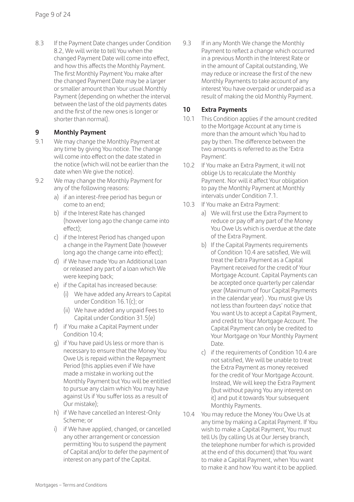8.3 If the Payment Date changes under Condition 8.2, We will write to tell You when the changed Payment Date will come into effect, and how this affects the Monthly Payment. The first Monthly Payment You make after the changed Payment Date may be a larger or smaller amount than Your usual Monthly Payment (depending on whether the interval between the last of the old payments dates and the first of the new ones is longer or shorter than normal).

#### **9 Monthly Payment**

- 9.1 We may change the Monthly Payment at any time by giving You notice. The change will come into effect on the date stated in the notice (which will not be earlier than the date when We give the notice).
- 9.2 We may change the Monthly Payment for any of the following reasons:
	- a) if an interest-free period has begun or come to an end;
	- b) if the Interest Rate has changed (however long ago the change came into effect);
	- c) if the Interest Period has changed upon a change in the Payment Date (however long ago the change came into effect);
	- d) if We have made You an Additional Loan or released any part of a loan which We were keeping back;
	- e) if the Capital has increased because:
		- (i) We have added any Arrears to Capital under Condition 16.1(c); or
		- (ii) We have added any unpaid Fees to Capital under Condition 31.5(e)
	- f) if You make a Capital Payment under Condition 10.4<sup>-</sup>
	- g) if You have paid Us less or more than is necessary to ensure that the Money You Owe Us is repaid within the Repayment Period (this applies even if We have made a mistake in working out the Monthly Payment but You will be entitled to pursue any claim which You may have against Us if You suffer loss as a result of Our mistake);
	- h) if We have cancelled an Interest-Only Scheme; or
	- i) if We have applied, changed, or cancelled any other arrangement or concession permitting You to suspend the payment of Capital and/or to defer the payment of interest on any part of the Capital.

9.3 If in any Month We change the Monthly Payment to reflect a change which occurred in a previous Month in the Interest Rate or in the amount of Capital outstanding, We may reduce or increase the first of the new Monthly Payments to take account of any interest You have overpaid or underpaid as a result of making the old Monthly Payment.

#### **10 Extra Payments**

- 10.1 This Condition applies if the amount credited to the Mortgage Account at any time is more than the amount which You had to pay by then. The difference between the two amounts is referred to as the 'Extra Payment'.
- 10.2 If You make an Extra Payment, it will not oblige Us to recalculate the Monthly Payment. Nor will it affect Your obligation to pay the Monthly Payment at Monthly intervals under Condition 7.1.
- 10.3 If You make an Extra Payment:
	- a) We will first use the Extra Payment to reduce or pay off any part of the Money You Owe Us which is overdue at the date of the Extra Payment.
	- b) If the Capital Payments requirements of Condition 10.4 are satisfied, We will treat the Extra Payment as a Capital Payment received for the credit of Your Mortgage Account. Capital Payments can be accepted once quarterly per calendar year (Maximum of four Capital Payments in the calendar year) . You must give Us not less than fourteen days' notice that You want Us to accept a Capital Payment, and credit to Your Mortgage Account. The Capital Payment can only be credited to Your Mortgage on Your Monthly Payment Date.
	- c) if the requirements of Condition 10.4 are not satisfied, We will be unable to treat the Extra Payment as money received for the credit of Your Mortgage Account. Instead, We will keep the Extra Payment (but without paying You any interest on it) and put it towards Your subsequent Monthly Payments.
- 10.4 You may reduce the Money You Owe Us at any time by making a Capital Payment. If You wish to make a Capital Payment, You must tell Us (by calling Us at Our Jersey branch, the telephone number for which is provided at the end of this document) that You want to make a Capital Payment, when You want to make it and how You want it to be applied.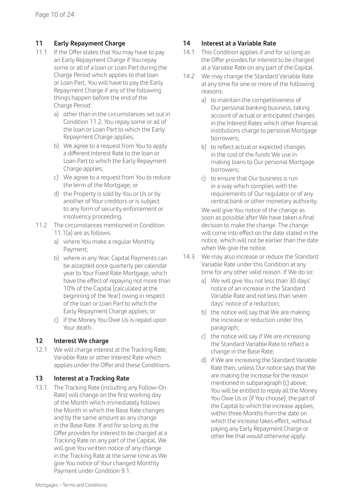#### **11 Early Repayment Charge**

- 11.1 If the Offer states that You may have to pay an Early Repayment Charge if You repay some or all of a loan or Loan Part during the Charge Period which applies to that loan or Loan Part, You will have to pay the Early Repayment Charge if any of the following things happen before the end of the Charge Period:
	- a) other than in the circumstances set out in Condition 11.2, You repay some or all of the loan or Loan Part to which the Early Repayment Charge applies;
	- b) We agree to a request from You to apply a different Interest Rate to the loan or Loan Part to which the Early Repayment Charge applies;
	- c) We agree to a request from You to reduce the term of the Mortgage; or
	- d) the Property is sold by You or Us or by another of Your creditors or is subject to any form of security enforcement or insolvency proceeding.
- 11.2 The circumstances mentioned in Condition 11.1(a) are as follows:
	- a) where You make a regular Monthly Payment;
	- b) where in any Year, Capital Payments can be accepted once quarterly per calendar year to Your Fixed Rate Mortgage, which have the effect of repaying not more than 10% of the Capital (calculated at the beginning of the Year) owing in respect of the loan or Loan Part to which the Early Repayment Charge applies; or
	- c) if the Money You Owe Us is repaid upon Your death.

#### **12 Interest We charge**

12.1 We will charge interest at the Tracking Rate, Variable Rate or other Interest Rate which applies under the Offer and these Conditions.

#### **13 Interest at a Tracking Rate**

13.1 The Tracking Rate (including any Follow-On Rate) will change on the first working day of the Month which immediately follows the Month in which the Base Rate changes and by the same amount as any change in the Base Rate. If and for so long as the Offer provides for interest to be charged at a Tracking Rate on any part of the Capital, We will give You written notice of any change in the Tracking Rate at the same time as We give You notice of Your changed Monthly Payment under Condition 9.1.

#### **14 Interest at a Variable Rate**

- 14.1 This Condition applies if and for so long as the Offer provides for interest to be charged at a Variable Rate on any part of the Capital.
- 14.2 We may change the Standard Variable Rate at any time for one or more of the following reasons:
	- a) to maintain the competitiveness of Our personal banking business, taking account of actual or anticipated changes in the Interest Rates which other financial institutions charge to personal Mortgage borrowers;
	- b) to reflect actual or expected changes in the cost of the funds We use in making loans to Our personal Mortgage borrowers;
	- c) to ensure that Our business is run in a way which complies with the requirements of Our regulator or of any central bank or other monetary authority.

 We will give You notice of the change as soon as possible after We have taken a final decision to make the change. The change will come into effect on the date stated in the notice, which will not be earlier than the date when We give the notice.

- 14.3 We may also increase or reduce the Standard Variable Rate under this Condition at any time for any other valid reason. If We do so:
	- a) We will give You not less than 30 days' notice of an increase in the Standard Variable Rate and not less than seven days' notice of a reduction;
	- b) the notice will say that We are making the increase or reduction under this paragraph;
	- c) the notice will say if We are increasing the Standard Variable Rate to reflect a change in the Base Rate;
	- d) if We are increasing the Standard Variable Rate then, unless Our notice says that We are making the increase for the reason mentioned in subparagraph (c) above, You will be entitled to repay all the Money You Owe Us or (if You choose), the part of the Capital to which the increase applies, within three Months from the date on which the increase takes effect, without paying any Early Repayment Charge or other fee that would otherwise apply.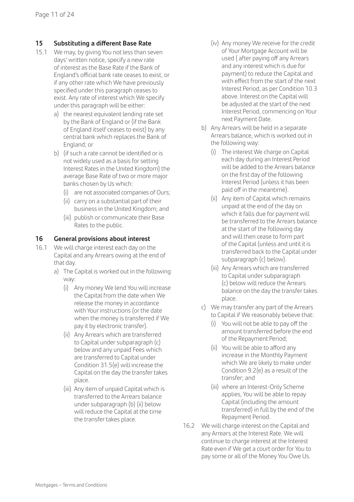#### **15 Substituting a different Base Rate**

- 15.1 We may, by giving You not less than seven days' written notice, specify a new rate of interest as the Base Rate if the Bank of England's official bank rate ceases to exist, or if any other rate which We have previously specified under this paragraph ceases to exist. Any rate of interest which We specify under this paragraph will be either:
	- a) the nearest equivalent lending rate set by the Bank of England or (if the Bank of England itself ceases to exist) by any central bank which replaces the Bank of England; or
	- b) (if such a rate cannot be identified or is not widely used as a basis for setting Interest Rates in the United Kingdom) the average Base Rate of two or more major banks chosen by Us which:
		- (i) are not associated companies of Ours;
		- (ii) carry on a substantial part of their business in the United Kingdom; and
		- (iii) publish or communicate their Base Rates to the public.

#### **16 General provisions about interest**

- 16.1 We will charge interest each day on the Capital and any Arrears owing at the end of that day.
	- a) The Capital is worked out in the following way:
		- (i) Any money We lend You will increase the Capital from the date when We release the money in accordance with Your instructions (or the date when the money is transferred if We pay it by electronic transfer).
		- (ii) Any Arrears which are transferred to Capital under subparagraph (c) below and any unpaid Fees which are transferred to Capital under Condition 31.5(e) will increase the Capital on the day the transfer takes place.
		- (iii) Any item of unpaid Capital which is transferred to the Arrears balance under subparagraph (b) (ii) below will reduce the Capital at the time the transfer takes place.
- (iv) Any money We receive for the credit of Your Mortgage Account will be used ( after paying off any Arrears and any interest which is due for payment) to reduce the Capital and with effect from the start of the next Interest Period, as per Condition 10.3 above. Interest on the Capital will be adjusted at the start of the next Interest Period, commencing on Your next Payment Date.
- b) Any Arrears will be held in a separate Arrears balance, which is worked out in the following way:
	- (i) The interest We charge on Capital each day during an Interest Period will be added to the Arrears balance on the first day of the following Interest Period (unless it has been paid off in the meantime).
	- (ii) Any item of Capital which remains unpaid at the end of the day on which it falls due for payment will be transferred to the Arrears balance at the start of the following day and will then cease to form part of the Capital (unless and until it is transferred back to the Capital under subparagraph (c) below).
	- (iii) Any Arrears which are transferred to Capital under subparagraph (c) below will reduce the Arrears balance on the day the transfer takes place.
- c) We may transfer any part of the Arrears to Capital if We reasonably believe that:
	- (i) You will not be able to pay off the amount transferred before the end of the Repayment Period;
	- (ii) You will be able to afford any increase in the Monthly Payment which We are likely to make under Condition 9.2(e) as a result of the transfer; and
	- (iii) where an Interest-Only Scheme applies, You will be able to repay Capital (including the amount transferred) in full by the end of the Repayment Period.
- 16.2 We will charge interest on the Capital and any Arrears at the Interest Rate. We will continue to charge interest at the Interest Rate even if We get a court order for You to pay some or all of the Money You Owe Us.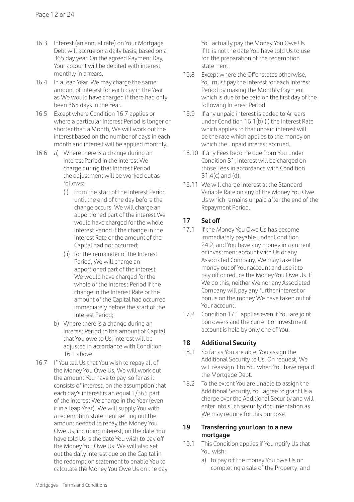- 16.3 Interest (an annual rate) on Your Mortgage Debt will accrue on a daily basis, based on a 365 day year. On the agreed Payment Day, Your account will be debited with interest monthly in arrears.
- 16.4 In a leap Year, We may charge the same amount of interest for each day in the Year as We would have charged if there had only been 365 days in the Year.
- 16.5 Except where Condition 16.7 applies or where a particular Interest Period is longer or shorter than a Month, We will work out the interest based on the number of days in each month and interest will be applied monthly.
- 16.6 a) Where there is a change during an Interest Period in the interest We charge during that Interest Period the adjustment will be worked out as follows:
	- (i) from the start of the Interest Period until the end of the day before the change occurs, We will charge an apportioned part of the interest We would have charged for the whole Interest Period if the change in the Interest Rate or the amount of the Capital had not occurred;
	- (ii) for the remainder of the Interest Period, We will charge an apportioned part of the interest We would have charged for the whole of the Interest Period if the change in the Interest Rate or the amount of the Capital had occurred immediately before the start of the Interest Period;
	- b) Where there is a change during an Interest Period to the amount of Capital that You owe to Us, interest will be adjusted in accordance with Condition 16.1 above.
- 16.7 If You tell Us that You wish to repay all of the Money You Owe Us, We will work out the amount You have to pay, so far as it consists of interest, on the assumption that each day's interest is an equal 1/365 part of the interest We charge in the Year (even if in a leap Year). We will supply You with a redemption statement setting out the amount needed to repay the Money You Owe Us, including interest, on the date You have told Us is the date You wish to pay off the Money You Owe Us. We will also set out the daily interest due on the Capital in the redemption statement to enable You to calculate the Money You Owe Us on the day

 You actually pay the Money You Owe Us if It is not the date You have told Us to use for the preparation of the redemption statement.

- 16.8 Except where the Offer states otherwise, You must pay the interest for each Interest Period by making the Monthly Payment which is due to be paid on the first day of the following Interest Period.
- 16.9 If any unpaid interest is added to Arrears under Condition 16.1(b) (i) the Interest Rate which applies to that unpaid interest will be the rate which applies to the money on which the unpaid interest accrued.
- 16.10 If any Fees become due from You under Condition 31, interest will be charged on those Fees in accordance with Condition  $31.4(c)$  and  $(d)$ .
- 16.11 We will charge interest at the Standard Variable Rate on any of the Money You Owe Us which remains unpaid after the end of the Repayment Period.

#### **17 Set off**

- 17.1 If the Money You Owe Us has become immediately payable under Condition 24.2, and You have any money in a current or investment account with Us or any Associated Company, We may take the money out of Your account and use it to pay off or reduce the Money You Owe Us. If We do this, neither We nor any Associated Company will pay any further interest or bonus on the money We have taken out of Your account.
- 17.2 Condition 17.1 applies even if You are joint borrowers and the current or investment account is held by only one of You.

#### **18 Additional Security**

- 18.1 So far as You are able, You assign the Additional Security to Us. On request, We will reassign it to You when You have repaid the Mortgage Debt.
- 18.2 To the extent You are unable to assign the Additional Security, You agree to grant Us a charge over the Additional Security and will enter into such security documentation as We may require for this purpose.

#### **19 Transferring your loan to a new mortgage**

- 19.1 This Condition applies if You notify Us that You wish:
	- a) to pay off the money You owe Us on completing a sale of the Property; and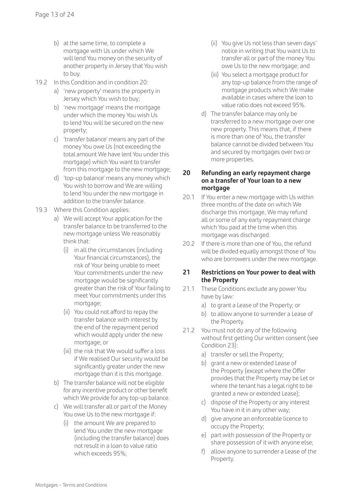- b) at the same time, to complete a mortgage with Us under which We will lend You money on the security of another property in Jersey that You wish to buy.
- 19.2 In this Condition and in condition 20:
	- a) 'new property' means the property in Jersey which You wish to buy;
	- b) 'new mortgage' means the mortgage under which the money You wish Us to lend You will be secured on the new property;
	- c) 'transfer balance' means any part of the money You owe Us (not exceeding the total amount We have lent You under this mortgage) which You want to transfer from this mortgage to the new mortgage:
	- d) 'top-up balance' means any money which You wish to borrow and We are willing to lend You under the new mortgage in addition to the transfer balance.
- 19.3 Where this Condition applies:
	- a) We will accept Your application for the transfer balance to be transferred to the new mortgage unless We reasonably think that:
		- (i) in all the circumstances (including Your financial circumstances), the risk of Your being unable to meet Your commitments under the new mortgage would be significantly greater than the risk of Your failing to meet Your commitments under this mortgage;
		- (ii) You could not afford to repay the transfer balance with interest by the end of the repayment period which would apply under the new mortgage; or
		- (iii) the risk that We would suffer a loss if We realised Our security would be significantly greater under the new mortgage than it is this mortgage.
	- b) The transfer balance will not be eligible for any incentive product or other benefit which We provide for any top-up balance.
	- c) We will transfer all or part of the Money You owe Us to the new mortgage if:
		- (i) the amount We are prepared to lend You under the new mortgage (including the transfer balance) does not result in a loan to value ratio which exceeds 95%;
- (ii) You give Us not less than seven days' notice in writing that You want Us to transfer all or part of the money You owe Us to the new mortgage; and
- (iii) You select a mortgage product for any top-up balance from the range of mortgage products which We make available in cases where the loan to value ratio does not exceed 95%.
- d) The transfer balance may only be transferred to a new mortgage over one new property. This means that, if there is more than one of You, the transfer balance cannot be divided between You and secured by mortgages over two or more properties.

#### **20 Refunding an early repayment charge on a transfer of Your loan to a new mortgage**

- 20.1 If You enter a new mortgage with Us within three months of the date on which We discharge this mortgage, We may refund all or some of any early repayment charge which You paid at the time when this mortgage was discharged.
- 20.2 If there is more than one of You, the refund will be divided equally amongst those of You who are borrowers under the new mortgage.

#### **21 Restrictions on Your power to deal with the Property**

- 21.1 These Conditions exclude any power You have by law:
	- a) to grant a Lease of the Property; or
	- b) to allow anyone to surrender a Lease of the Property.
- 21.2 You must not do any of the following without first getting Our written consent (see Condition 23):
	- a) transfer or sell the Property;
	- b) grant a new or extended Lease of the Property (except where the Offer provides that the Property may be Let or where the tenant has a legal right to be granted a new or extended Lease);
	- c) dispose of the Property or any interest You have in it in any other way;
	- d) give anyone an enforceable licence to occupy the Property;
	- e) part with possession of the Property or share possession of it with anyone else;
	- f) allow anyone to surrender a Lease of the **Property**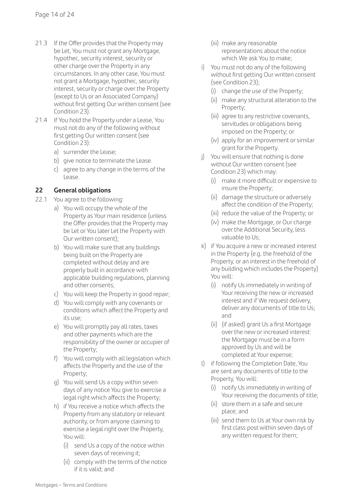- 21.3 If the Offer provides that the Property may be Let, You must not grant any Mortgage, hypothec, security interest, security or other charge over the Property in any circumstances. In any other case, You must not grant a Mortgage, hypothec, security interest, security or charge over the Property (except to Us or an Associated Company) without first getting Our written consent (see Condition 23).
- 21.4 If You hold the Property under a Lease, You must not do any of the following without first getting Our written consent (see Condition 23):
	- a) surrender the Lease;
	- b) give notice to terminate the Lease.
	- c) agree to any change in the terms of the Lease.

#### **22 General obligations**

- 22.1 You agree to the following:
	- a) You will occupy the whole of the Property as Your main residence (unless the Offer provides that the Property may be Let or You later Let the Property with Our written consent);
	- b) You will make sure that any buildings being built on the Property are completed without delay and are properly built in accordance with applicable building regulations, planning and other consents;
	- c) You will keep the Property in good repair;
	- d) You will comply with any covenants or conditions which affect the Property and its use;
	- e) You will promptly pay all rates, taxes and other payments which are the responsibility of the owner or occupier of the Property;
	- f) You will comply with all legislation which affects the Property and the use of the Property;
	- g) You will send Us a copy within seven days of any notice You give to exercise a legal right which affects the Property;
	- h) if You receive a notice which affects the Property from any statutory or relevant authority, or from anyone claiming to exercise a legal right over the Property, You will:
		- (i) send Us a copy of the notice within seven days of receiving it;
		- (ii) comply with the terms of the notice if it is valid; and
- (iii) make any reasonable representations about the notice which We ask You to make;
- i) You must not do any of the following without first getting Our written consent (see Condition 23);
	- (i) change the use of the Property;
	- (ii) make any structural alteration to the Property;
	- (iii) agree to any restrictive covenants, servitudes or obligations being imposed on the Property; or
	- (iv) apply for an improvement or similar grant for the Property.
- j) You will ensure that nothing is done without Our written consent (see Condition 23) which may:
	- (i) make it more difficult or expensive to insure the Property;
	- (ii) damage the structure or adversely affect the condition of the Property;
	- (iii) reduce the value of the Property; or
	- (iv) make the Mortgage, or Our charge over the Additional Security, less valuable to Us;
- k) if You acquire a new or increased interest in the Property (e.g. the freehold of the Property, or an interest in the freehold of any building which includes the Property) You will:
	- (i) notify Us immediately in writing of Your receiving the new or increased interest and if We request delivery, deliver any documents of title to Us; and
	- (ii) (if asked) grant Us a first Mortgage over the new or increased interest: the Mortgage must be in a form approved by Us and will be completed at Your expense;
- l) if following the Completion Date, You are sent any documents of title to the Property, You will:
	- (i) notify Us immediately in writing of Your receiving the documents of title;
	- (ii) store them in a safe and secure place; and
	- (iii) send them to Us at Your own risk by first class post within seven days of any written request for them;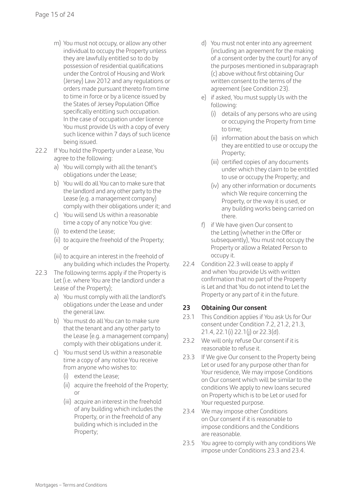- m) You must not occupy, or allow any other individual to occupy the Property unless they are lawfully entitled so to do by possession of residential qualifications under the Control of Housing and Work (Jersey) Law 2012 and any regulations or orders made pursuant thereto from time to time in force or by a licence issued by the States of Jersey Population Office specifically entitling such occupation. In the case of occupation under licence You must provide Us with a copy of every such licence within 7 days of such licence being issued.
- 22.2 If You hold the Property under a Lease, You agree to the following:
	- a) You will comply with all the tenant's obligations under the Lease;
	- b) You will do all You can to make sure that the landlord and any other party to the Lease (e.g. a management company) comply with their obligations under it; and
	- c) You will send Us within a reasonable time a copy of any notice You give:
	- (i) to extend the Lease;
	- (ii) to acquire the freehold of the Property; or
	- (iii) to acquire an interest in the freehold of any building which includes the Property.
- 22.3 The following terms apply if the Property is Let (i.e. where You are the landlord under a Lease of the Property);
	- a) You must comply with all the landlord's obligations under the Lease and under the general law.
	- b) You must do all You can to make sure that the tenant and any other party to the Lease (e.g. a management company) comply with their obligations under it.
	- c) You must send Us within a reasonable time a copy of any notice You receive from anyone who wishes to:
		- (i) extend the Lease;
		- (ii) acquire the freehold of the Property; or
		- (iii) acquire an interest in the freehold of any building which includes the Property, or in the freehold of any building which is included in the Property;
- d) You must not enter into any agreement (including an agreement for the making of a consent order by the court) for any of the purposes mentioned in subparagraph (c) above without first obtaining Our written consent to the terms of the agreement (see Condition 23).
- e) if asked, You must supply Us with the following:
	- (i) details of any persons who are using or occupying the Property from time to time;
	- (ii) information about the basis on which they are entitled to use or occupy the Property;
	- (iii) certified copies of any documents under which they claim to be entitled to use or occupy the Property; and
	- (iv) any other information or documents which We require concerning the Property, or the way it is used, or any building works being carried on there.
- f) if We have given Our consent to the Letting (whether in the Offer or subsequently), You must not occupy the Property or allow a Related Person to occupy it.
- 22.4 Condition 22.3 will cease to apply if and when You provide Us with written confirmation that no part of the Property is Let and that You do not intend to Let the Property or any part of it in the future.

#### **23 Obtaining Our consent**

- 23.1 This Condition applies if You ask Us for Our consent under Condition 7.2, 21.2, 21.3, 21.4, 22.1(i) 22.1(j) or 22.3(d).
- 23.2 We will only refuse Our consent if it is reasonable to refuse it.
- 23.3 If We give Our consent to the Property being Let or used for any purpose other than for Your residence, We may impose Conditions on Our consent which will be similar to the conditions We apply to new loans secured on Property which is to be Let or used for Your requested purpose.
- 23.4 We may impose other Conditions on Our consent if it is reasonable to impose conditions and the Conditions are reasonable.
- 23.5 You agree to comply with any conditions We impose under Conditions 23.3 and 23.4.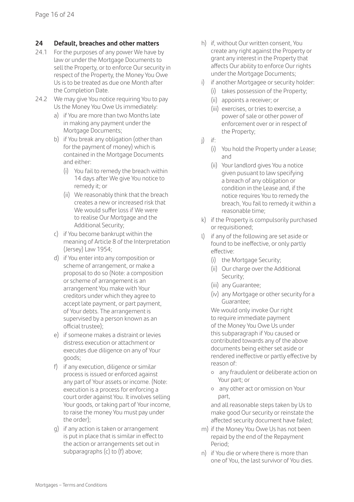#### **24 Default, breaches and other matters**

- 24.1 For the purposes of any power We have by law or under the Mortgage Documents to sell the Property, or to enforce Our security in respect of the Property, the Money You Owe Us is to be treated as due one Month after the Completion Date.
- 24.2 We may give You notice requiring You to pay Us the Money You Owe Us immediately:
	- a) if You are more than two Months late in making any payment under the Mortgage Documents;
	- b) if You break any obligation (other than for the payment of money) which is contained in the Mortgage Documents and either:
		- (i) You fail to remedy the breach within 14 days after We give You notice to remedy it; or
		- (ii) We reasonably think that the breach creates a new or increased risk that We would suffer loss if We were to realise Our Mortgage and the Additional Security;
	- c) if You become bankrupt within the meaning of Article 8 of the Interpretation (Jersey) Law 1954;
	- d) if You enter into any composition or scheme of arrangement, or make a proposal to do so (Note: a composition or scheme of arrangement is an arrangement You make with Your creditors under which they agree to accept late payment, or part payment, of Your debts. The arrangement is supervised by a person known as an official trustee);
	- e) if someone makes a distraint or levies distress execution or attachment or executes due diligence on any of Your goods;
	- f) if any execution, diligence or similar process is issued or enforced against any part of Your assets or income. (Note: execution is a process for enforcing a court order against You. It involves selling Your goods, or taking part of Your income, to raise the money You must pay under the order);
	- g) if any action is taken or arrangement is put in place that is similar in effect to the action or arrangements set out in subparagraphs (c) to (f) above;
- h) if, without Our written consent, You create any right against the Property or grant any interest in the Property that affects Our ability to enforce Our rights under the Mortgage Documents;
- i) if another Mortgagee or security holder:
	- (i) takes possession of the Property;
	- (ii) appoints a receiver; or
	- (iii) exercises, or tries to exercise, a power of sale or other power of enforcement over or in respect of the Property;
- j) if:
	- (i) You hold the Property under a Lease; and
	- (ii) Your landlord gives You a notice given pusuant to law specifying a breach of any obligation or condition in the Lease and, if the notice requires You to remedy the breach, You fail to remedy it within a reasonable time;
- k) if the Property is compulsorily purchased or requisitioned;
- l) if any of the following are set aside or found to be ineffective, or only partly effective:
	- (i) the Mortgage Security;
	- (ii) Our charge over the Additional Security;
	- (iii) any Guarantee;
	- (iv) any Mortgage or other security for a Guarantee;

We would only invoke Our right to require immediate payment of the Money You Owe Us under this subparagraph if You caused or contributed towards any of the above documents being either set aside or rendered ineffective or partly effective by reason of:

- { any fraudulent or deliberate action on Your part; or
- { any other act or omission on Your part,

 and all reasonable steps taken by Us to make good Our security or reinstate the affected security document have failed;

- m) if the Money You Owe Us has not been repaid by the end of the Repayment Period;
- n) if You die or where there is more than one of You, the last survivor of You dies.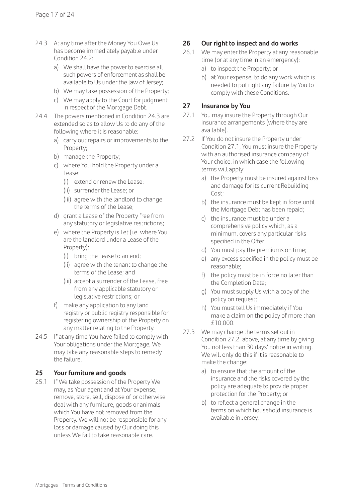- 24.3 At any time after the Money You Owe Us has become immediately payable under Condition 24.2:
	- a) We shall have the power to exercise all such powers of enforcement as shall be available to Us under the law of Jersey;
	- b) We may take possession of the Property;
	- c) We may apply to the Court for judgment in respect of the Mortgage Debt.
- 24.4 The powers mentioned in Condition 24.3 are extended so as to allow Us to do any of the following where it is reasonable:
	- a) carry out repairs or improvements to the Property;
	- b) manage the Property;
	- c) where You hold the Property under a Lease:
		- (i) extend or renew the Lease;
		- (ii) surrender the Lease; or
		- (iii) agree with the landlord to change the terms of the Lease;
	- d) grant a Lease of the Property free from any statutory or legislative restrictions;
	- e) where the Property is Let (i.e. where You are the landlord under a Lease of the Property):
		- (i) bring the Lease to an end;
		- (ii) agree with the tenant to change the terms of the Lease; and
		- (iii) accept a surrender of the Lease, free from any applicable statutory or legislative restrictions; or
	- f) make any application to any land registry or public registry responsible for registering ownership of the Property on any matter relating to the Property.
- 24.5 If at any time You have failed to comply with Your obligations under the Mortgage, We may take any reasonable steps to remedy the failure.

#### **25 Your furniture and goods**

25.1 If We take possession of the Property We may, as Your agent and at Your expense, remove, store, sell, dispose of or otherwise deal with any furniture, goods or animals which You have not removed from the Property. We will not be responsible for any loss or damage caused by Our doing this unless We fail to take reasonable care.

#### **26 Our right to inspect and do works**

- 26.1 We may enter the Property at any reasonable time (or at any time in an emergency):
	- a) to inspect the Property; or
	- b) at Your expense, to do any work which is needed to put right any failure by You to comply with these Conditions.

#### **27 Insurance by You**

- 27.1 You may insure the Property through Our insurance arrangements (where they are available).
- 27.2 If You do not insure the Property under Condition 27.1, You must insure the Property with an authorised insurance company of Your choice, in which case the following terms will apply:
	- a) the Property must be insured against loss and damage for its current Rebuilding Cost;
	- b) the insurance must be kept in force until the Mortgage Debt has been repaid;
	- c) the insurance must be under a comprehensive policy which, as a minimum, covers any particular risks specified in the Offer;
	- d) You must pay the premiums on time;
	- e) any excess specified in the policy must be reasonable;
	- f) the policy must be in force no later than the Completion Date;
	- g) You must supply Us with a copy of the policy on request;
	- h) You must tell Us immediately if You make a claim on the policy of more than £10,000.
- 27.3 We may change the terms set out in Condition 27.2, above, at any time by giving You not less than 30 days' notice in writing. We will only do this if it is reasonable to make the change:
	- a) to ensure that the amount of the insurance and the risks covered by the policy are adequate to provide proper protection for the Property; or
	- b) to reflect a general change in the terms on which household insurance is available in Jersey.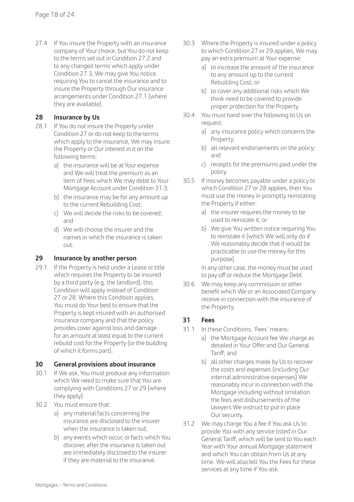27.4 If You insure the Property with an insurance company of Your choice, but You do not keep to the terms set out in Condition 27.2 and to any changed terms which apply under Condition 27.3, We may give You notice requiring You to cancel the insurance and to insure the Property through Our insurance arrangements under Condition 27.1 (where they are available).

#### **28 Insurance by Us**

- 28.1 If You do not insure the Property under Condition 27 or do not keep to the terms which apply to the insurance, We may insure the Property or Our interest in it on the following terms:
	- a) the insurance will be at Your expense and We will treat the premium as an item of Fees which We may debit to Your Mortgage Account under Condition 31.3;
	- b) the insurance may be for any amount up to the current Rebuilding Cost;
	- c) We will decide the risks to be covered; and
	- d) We will choose the insurer and the names in which the insurance is taken out.

#### **29 Insurance by another person**

29.1 If the Property is held under a Lease or title which requires the Property to be insured by a third party (e.g. the landlord), this Condition will apply instead of Condition 27 or 28. Where this Condition applies, You must do Your best to ensure that the Property is kept insured with an authorised insurance company and that the policy provides cover against loss and damage for an amount at least equal to the current rebuild cost for the Property (or the building of which it forms part).

#### **30 General provisions about insurance**

- 30.1 If We ask, You must produce any information which We need to make sure that You are complying with Conditions 27 or 29 (where they apply).
- 30.2 You must ensure that:
	- a) any material facts concerning the insurance are disclosed to the insurer when the insurance is taken out:
	- b) any events which occur, or facts which You discover, after the insurance is taken out are immediately disclosed to the insurer if they are material to the insurance.
- 30.3 Where the Property is insured under a policy to which Condition 27 or 29 applies, We may pay an extra premium at Your expense:
	- a) to increase the amount of the insurance to any amount up to the current Rebuilding Cost; or
	- b) to cover any additional risks which We think need to be covered to provide proper protection for the Property.
- 30.4 You must hand over the following to Us on request:
	- a) any insurance policy which concerns the Property;
	- b) all relevant endorsements on the policy; and
	- c) receipts for the premiums paid under the policy.
- 30.5 If money becomes payable under a policy to which Condition 27 or 28 applies, then You must use the money in promptly reinstating the Property if either:
	- a) the insurer requires the money to be used to reinstate it; or
	- b) We give You written notice requiring You to reinstate it (which We will only do if We reasonably decide that it would be practicable to use the money for this purpose).

 In any other case, the money must be used to pay off or reduce the Mortgage Debt.

30.6 We may keep any commission or other benefit which We or an Associated Company receive in connection with the insurance of the Property.

#### **31 Fees**

- 31.1 In these Conditions, 'Fees' means:
	- a) the Mortgage Account fee We charge as detailed in Your Offer and Our General Tariff; and
	- b) all other charges made by Us to recover the costs and expenses (including Our internal administrative expenses) We reasonably incur in connection with the Mortgage including without limitation the fees and disbursements of the lawyers We instruct to put in place Our security.
- 31.2 We may charge You a fee if You ask Us to provide You with any service listed in Our General Tariff, which will be sent to You each Year with Your annual Mortgage statement and which You can obtain from Us at any time. We will also tell You the Fees for these services at any time if You ask.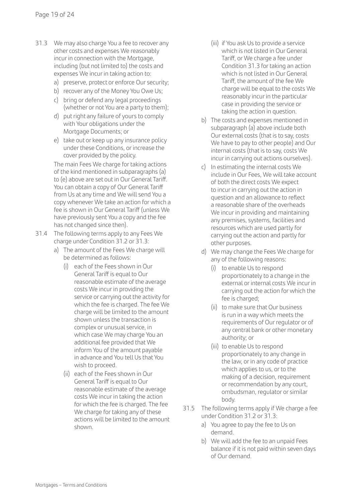- 31.3 We may also charge You a fee to recover any other costs and expenses We reasonably incur in connection with the Mortgage, including (but not limited to) the costs and expenses We incur in taking action to:
	- a) preserve, protect or enforce Our security;
	- b) recover any of the Money You Owe Us; c) bring or defend any legal proceedings (whether or not You are a party to them);
	- d) put right any failure of yours to comply with Your obligations under the Mortgage Documents; or
	- e) take out or keep up any insurance policy under these Conditions, or increase the cover provided by the policy.

 The main Fees We charge for taking actions of the kind mentioned in subparagraphs (a) to (e) above are set out in Our General Tariff. You can obtain a copy of Our General Tariff from Us at any time and We will send You a copy whenever We take an action for which a fee is shown in Our General Tariff (unless We have previously sent You a copy and the fee has not changed since then).

- 31.4 The following terms apply to any Fees We charge under Condition 31.2 or 31.3:
	- a) The amount of the Fees We charge will be determined as follows:
		- (i) each of the Fees shown in Our General Tariff is equal to Our reasonable estimate of the average costs We incur in providing the service or carrying out the activity for which the fee is charged. The fee We charge will be limited to the amount shown unless the transaction is complex or unusual service, in which case We may charge You an additional fee provided that We inform You of the amount payable in advance and You tell Us that You wish to proceed.
		- (ii) each of the Fees shown in Our General Tariff is equal to Our reasonable estimate of the average costs We incur in taking the action for which the fee is charged. The fee We charge for taking any of these actions will be limited to the amount shown.
- (iii) if You ask Us to provide a service which is not listed in Our General Tariff, or We charge a fee under Condition 31.3 for taking an action which is not listed in Our General Tariff, the amount of the fee We charge will be equal to the costs We reasonably incur in the particular case in providing the service or taking the action in question.
- b) The costs and expenses mentioned in subparagraph (a) above include both Our external costs (that is to say, costs We have to pay to other people) and Our internal costs (that is to say, costs We incur in carrying out actions ourselves).
- c) In estimating the internal costs We include in Our Fees, We will take account of both the direct costs We expect to incur in carrying out the action in question and an allowance to reflect a reasonable share of the overheads We incur in providing and maintaining any premises, systems, facilities and resources which are used partly for carrying out the action and partly for other purposes.
- d) We may change the Fees We charge for any of the following reasons:
	- (i) to enable Us to respond proportionately to a change in the external or internal costs We incur in carrying out the action for which the fee is charged:
	- (ii) to make sure that Our business is run in a way which meets the requirements of Our regulator or of any central bank or other monetary authority; or
	- (iii) to enable Us to respond proportionately to any change in the law, or in any code of practice which applies to us, or to the making of a decision, requirement or recommendation by any court, ombudsman, regulator or similar body.
- 31.5 The following terms apply if We charge a fee under Condition 31.2 or 31.3:
	- a) You agree to pay the fee to Us on demand.
	- b) We will add the fee to an unpaid Fees balance if it is not paid within seven days of Our demand.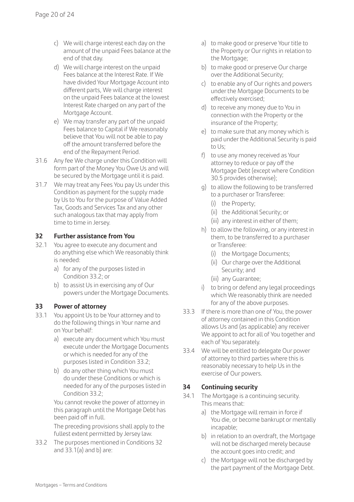- c) We will charge interest each day on the amount of the unpaid Fees balance at the end of that day.
- d) We will charge interest on the unpaid Fees balance at the Interest Rate. If We have divided Your Mortgage Account into different parts, We will charge interest on the unpaid Fees balance at the lowest Interest Rate charged on any part of the Mortgage Account.
- e) We may transfer any part of the unpaid Fees balance to Capital if We reasonably believe that You will not be able to pay off the amount transferred before the end of the Repayment Period.
- 31.6 Any fee We charge under this Condition will form part of the Money You Owe Us and will be secured by the Mortgage until it is paid.
- 31.7 We may treat any Fees You pay Us under this Condition as payment for the supply made by Us to You for the purpose of Value Added Tax, Goods and Services Tax and any other such analogous tax that may apply from time to time in Jersey.

#### **32 Further assistance from You**

- 32.1 You agree to execute any document and do anything else which We reasonably think is needed:
	- a) for any of the purposes listed in Condition 33.2; or
	- b) to assist Us in exercising any of Our powers under the Mortgage Documents.

#### **33 Power of attorney**

- 33.1 You appoint Us to be Your attorney and to do the following things in Your name and on Your behalf:
	- a) execute any document which You must execute under the Mortgage Documents or which is needed for any of the purposes listed in Condition 33.2;
	- b) do any other thing which You must do under these Conditions or which is needed for any of the purposes listed in Condition 33.2;

 You cannot revoke the power of attorney in this paragraph until the Mortgage Debt has been paid off in full.

 The preceding provisions shall apply to the fullest extent permitted by Jersey law.

33.2 The purposes mentioned in Conditions 32 and 33.1(a) and b) are:

- a) to make good or preserve Your title to the Property or Our rights in relation to the Mortgage;
- b) to make good or preserve Our charge over the Additional Security;
- c) to enable any of Our rights and powers under the Mortgage Documents to be effectively exercised;
- d) to receive any money due to You in connection with the Property or the insurance of the Property;
- e) to make sure that any money which is paid under the Additional Security is paid to Us;
- f) to use any money received as Your attorney to reduce or pay off the Mortgage Debt (except where Condition 30.5 provides otherwise);
- g) to allow the following to be transferred to a purchaser or Transferee:
	- (i) the Property;
	- (ii) the Additional Security; or
	- (iii) any interest in either of them;
- h) to allow the following, or any interest in them, to be transferred to a purchaser or Transferee:
	- (i) the Mortgage Documents;
	- (ii) Our charge over the Additional Security; and
	- (iii) any Guarantee;
- i) to bring or defend any legal proceedings which We reasonably think are needed for any of the above purposes.
- 33.3 If there is more than one of You, the power of attorney contained in this Condition allows Us and (as applicable) any receiver We appoint to act for all of You together and each of You separately.
- 33.4 We will be entitled to delegate Our power of attorney to third parties where this is reasonably necessary to help Us in the exercise of Our powers.

#### **34 Continuing security**

- 34.1 The Mortgage is a continuing security. This means that:
	- a) the Mortgage will remain in force if You die, or become bankrupt or mentally incapable;
	- b) in relation to an overdraft, the Mortgage will not be discharged merely because the account goes into credit; and
	- c) the Mortgage will not be discharged by the part payment of the Mortgage Debt.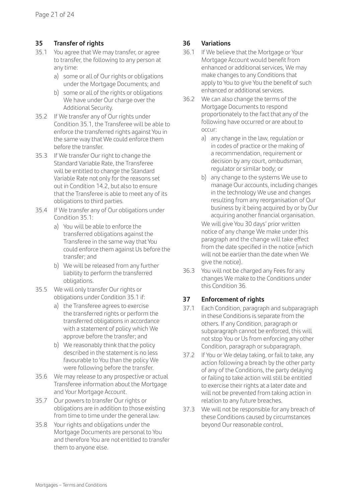#### **35 Transfer of rights**

- 35.1 You agree that We may transfer, or agree to transfer, the following to any person at any time:
	- a) some or all of Our rights or obligations under the Mortgage Documents; and
	- b) some or all of the rights or obligations We have under Our charge over the Additional Security.
- 35.2 If We transfer any of Our rights under Condition 35.1, the Transferee will be able to enforce the transferred rights against You in the same way that We could enforce them before the transfer.
- 35.3 If We transfer Our right to change the Standard Variable Rate, the Transferee will be entitled to change the Standard Variable Rate not only for the reasons set out in Condition 14.2, but also to ensure that the Transferee is able to meet any of its obligations to third parties.
- 35.4 If We transfer any of Our obligations under Condition 35.1:
	- a) You will be able to enforce the transferred obligations against the Transferee in the same way that You could enforce them against Us before the transfer; and
	- b) We will be released from any further liability to perform the transferred obligations.
- 35.5 We will only transfer Our rights or obligations under Condition 35.1 if:
	- a) the Transferee agrees to exercise the transferred rights or perform the transferred obligations in accordance with a statement of policy which We approve before the transfer; and
	- b) We reasonably think that the policy described in the statement is no less favourable to You than the policy We were following before the transfer.
- 35.6 We may release to any prospective or actual Transferee information about the Mortgage and Your Mortgage Account.
- 35.7 Our powers to transfer Our rights or obligations are in addition to those existing from time to time under the general law.
- 35.8 Your rights and obligations under the Mortgage Documents are personal to You and therefore You are not entitled to transfer them to anyone else.

#### **36 Variations**

- 36.1 If We believe that the Mortgage or Your Mortgage Account would benefit from enhanced or additional services, We may make changes to any Conditions that apply to You to give You the benefit of such enhanced or additional services.
- 36.2 We can also change the terms of the Mortgage Documents to respond proportionately to the fact that any of the following have occurred or are about to occur:
	- a) any change in the law, regulation or in codes of practice or the making of a recommendation, requirement or decision by any court, ombudsman, regulator or similar body; or
	- b) any change to the systems We use to manage Our accounts, including changes in the technology We use and changes resulting from any reorganisation of Our business by it being acquired by or by Our acquiring another financial organisation.

 We will give You 30 days' prior written notice of any change We make under this paragraph and the change will take effect from the date specified in the notice (which will not be earlier than the date when We give the notice).

36.3 You will not be charged any Fees for any changes We make to the Conditions under this Condition 36.

#### **37 Enforcement of rights**

- 37.1 Each Condition, paragraph and subparagraph in these Conditions is separate from the others. If any Condition, paragraph or subparagraph cannot be enforced, this will not stop You or Us from enforcing any other Condition, paragraph or subparagraph.
- 37.2 If You or We delay taking, or fail to take, any action following a breach by the other party of any of the Conditions, the party delaying or failing to take action will still be entitled to exercise their rights at a later date and will not be prevented from taking action in relation to any future breaches.
- 37.3 We will not be responsible for any breach of these Conditions caused by circumstances beyond Our reasonable control.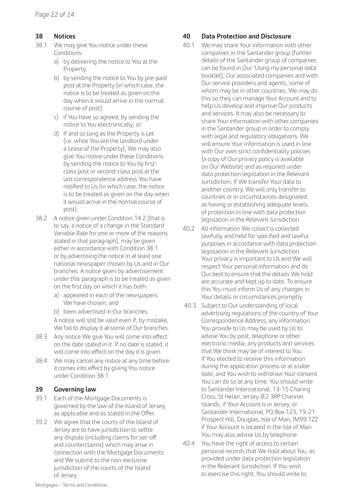#### **38 Notices**

- 38.1 We may give You notice under these Conditions:
	- a) by delivering the notice to You at the Property;
	- b) by sending the notice to You by pre-paid post at the Property (in which case, the notice is to be treated as given on the day when it would arrive in the normal course of post);
	- c) if You have so agreed, by sending the notice to You electronically; or
	- d) If and so long as the Property is Let (i.e. while You are the landlord under a Lease of the Property), We may also give You notice under these Conditions by sending the notice to You by firstclass post or second-class post at the last correspondence address You have notified to Us (in which case, the notice is to be treated as given on the day when it would arrive in the normal course of post).
- 38.2 A notice given under Condition 14.2 (that is to say, a notice of a change in the Standard Variable Rate for one or more of the reasons stated in that paragraph), may be given either in accordance with Condition 38.1 or by advertising the notice in at least one national newspaper chosen by Us and in Our branches. A notice given by advertisement under this paragraph is to be treated as given on the first day on which it has both:
	- a) appeared in each of the newspapers We have chosen; and
	- b) been advertised in Our branches. A notice will still be valid even if, by mistake, We fail to display it at some of Our branches.
- 38.3 Any notice We give You will come into effect on the date stated in it. If no date is stated, it will come into effect on the day it is given.
- 38.4 We may cancel any notice at any time before it comes into effect by giving You notice under Condition 38.1.

#### **39 Governing law**

- 39.1 Fach of the Mortgage Documents is governed by the law of the Island of Jersey, as applicable and as stated in the Offer.
- 39.2 We agree that the courts of the Island of Jersey are to have jurisdiction to settle any dispute (including claims for set-off and counterclaims) which may arise in connection with the Mortgage Documents and We submit to the non-exclusive jurisdiction of the courts of the Island of Jersey.

#### **40 Data Protection and Disclosure**

- 40.1 We may share Your information with other companies in the Santander group (further details of the Santander group of companies can be found in Our 'Using my personal data' booklet), Our associated companies and with Our service providers and agents, some of whom may be in other countries. We may do this so they can manage Your Account and to help Us develop and improve Our products and services. It may also be necessary to share Your information with other companies in the Santander group in order to comply with legal and regulatory obligations. We will ensure Your information is used in line with Our own strict confidentiality policies (a copy of Our privacy policy is available on Our Website) and as required under data protection legislation in the Relevant Jurisdiction. If We transfer Your data to another country, We will only transfer to countries or in circumstances designated as having or establishing adequate levels of protection in line with data protection legislation in the Relevant Jurisdiction.
- 40.2 All information We collect is collected lawfully and held for specified and lawful purposes in accordance with data protection legislation in the Relevant Jurisdiction. Your privacy is important to Us and We will respect Your personal information and do Our best to ensure that the details We hold are accurate and kept up to date. To ensure this You must inform Us of any changes in Your details or circumstances promptly.
- 40.3 Subject to Our understanding of local advertising regulations of the country of Your Correspondence Address, any information You provide to Us may be used by Us to advise You by post, telephone or other electronic media, any products and services that We think may be of interest to You. If You elected to receive this information during the application process or at a later date, and You wish to withdraw Your consent You can do so at any time. You should write to Santander International, 13-15 Charing Cross, St Helier, Jersey JE2 3RP Channel Islands, if Your Account is in Jersey, or Santander International, PO Box 123, 19-21 Prospect Hill, Douglas, Isle of Man, IM99 1ZZ if Your Account is located in the Isle of Man. You may also advise Us by telephone.
- 40.4 You have the right of access to certain personal records that We hold about You, as provided under data protection legislation in the Relevant Jurisdiction. If You wish to exercise this right, You should write to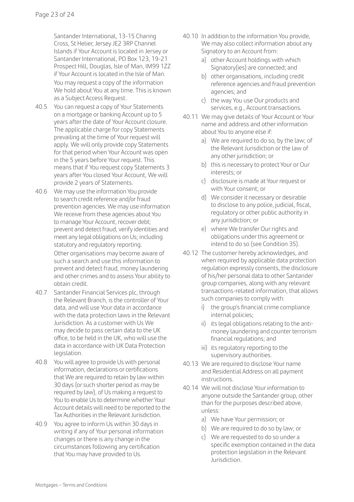Santander International, 13-15 Charing Cross, St Helier, Jersey JE2 3RP Channel Islands if Your Account is located in Jersey or Santander International, PO Box 123, 19-21 Prospect Hill, Douglas, Isle of Man, IM99 1ZZ if Your Account is located in the Isle of Man. You may request a copy of the information We hold about You at any time. This is known as a Subject Access Request.

- 40.5 You can request a copy of Your Statements on a mortgage or banking Account up to 5 years after the date of Your Account closure. The applicable charge for copy Statements prevailing at the time of Your request will apply. We will only provide copy Statements for that period when Your Account was open in the 5 years before Your request. This means that if You request copy Statements 3 years after You closed Your Account, We will provide 2 years of Statements.
- 40.6 We may use the information You provide to search credit reference and/or fraud prevention agencies. We may use information We receive from these agencies about You to manage Your Account, recover debt; prevent and detect fraud, verify identities and meet any legal obligations on Us; including statutory and regulatory reporting. Other organisations may become aware of such a search and use this information to prevent and detect fraud, money laundering and other crimes and to assess Your ability to obtain credit.
- 40.7 Santander Financial Services plc, through the Relevant Branch, is the controller of Your data, and will use Your data in accordance with the data protection laws in the Relevant Jurisdiction. As a customer with Us We may decide to pass certain data to the UK office, to be held in the UK, who will use the data in accordance with UK Data Protection legislation.
- 40.8 You will agree to provide Us with personal information, declarations or certifications that We are required to retain by law within 30 days (or such shorter period as may be required by law), of Us making a request to You to enable Us to determine whether Your Account details will need to be reported to the Tax Authorities in the Relevant Jurisdiction.
- 40.9 You agree to inform Us within 30 days in writing if any of Your personal information changes or there is any change in the circumstances following any certification that You may have provided to Us.
- 40.10 In addition to the information You provide, We may also collect information about any Signatory to an Account from:
	- a) other Account holdings with which Signatory(ies) are connected; and
	- b) other organisations, including credit reference agencies and fraud prevention agencies; and
	- c) the way You use Our products and services, e.g., Account transactions.
- 40.11 We may give details of Your Account or Your name and address and other information about You to anyone else if:
	- a) We are required to do so, by the law; of the Relevant Jurisdiction or the law of any other jurisdiction; or
	- b) this is necessary to protect Your or Our interests; or
	- c) disclosure is made at Your request or with Your consent; or
	- d) We consider it necessary or desirable to disclose to any police, judicial, fiscal, regulatory or other public authority in any jurisdiction; or
	- e) where We transfer Our rights and obligations under this agreement or intend to do so (see Condition 35).
- 40.12 The customer hereby acknowledges, and when required by applicable data protection regulation expressly consents, the disclosure of his/her personal data to other Santander group companies, along with any relevant transactions-related information, that allows such companies to comply with:
	- i) the group's financial crime compliance internal policies;
	- ii) its legal obligations relating to the antimoney laundering and counter terrorism financial regulations; and
	- iii) its regulatory reporting to the supervisory authorities.
- 40.13 We are required to disclose Your name and Residential Address on all payment instructions.
- 40.14 We will not disclose Your information to anyone outside the Santander group, other than for the purposes described above, unless:
	- a) We have Your permission; or
	- b) We are required to do so by law; or
	- c) We are requested to do so under a specific exemption contained in the data protection legislation in the Relevant Jurisdiction.